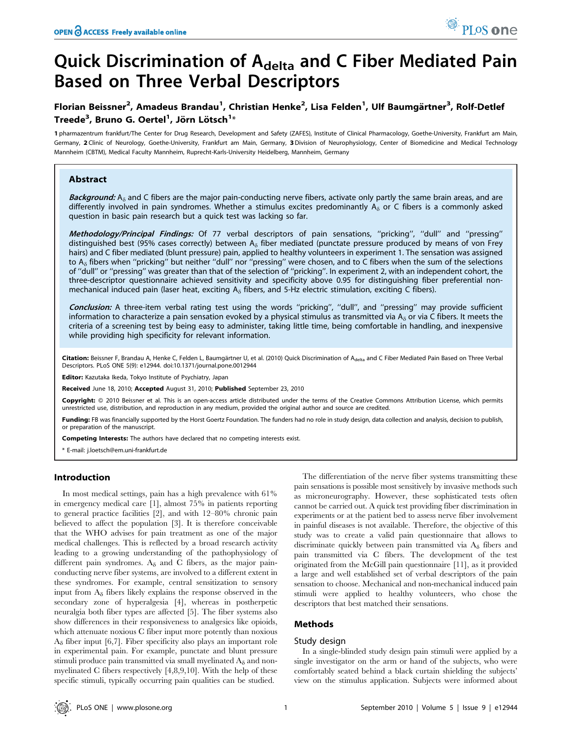# Quick Discrimination of A<sub>delta</sub> and C Fiber Mediated Pain Based on Three Verbal Descriptors

# Florian Beissner<sup>2</sup>, Amadeus Brandau<sup>1</sup>, Christian Henke<sup>2</sup>, Lisa Felden<sup>1</sup>, Ulf Baumgärtner<sup>3</sup>, Rolf-Detlef Treede $^3$ , Bruno G. Oertel $^1$ , Jörn Lötsch $^{1_\ast}$

1 pharmazentrum frankfurt/The Center for Drug Research, Development and Safety (ZAFES), Institute of Clinical Pharmacology, Goethe-University, Frankfurt am Main, Germany, 2 Clinic of Neurology, Goethe-University, Frankfurt am Main, Germany, 3 Division of Neurophysiology, Center of Biomedicine and Medical Technology Mannheim (CBTM), Medical Faculty Mannheim, Ruprecht-Karls-University Heidelberg, Mannheim, Germany

# Abstract

Background:  $A_{\delta}$  and C fibers are the major pain-conducting nerve fibers, activate only partly the same brain areas, and are differently involved in pain syndromes. Whether a stimulus excites predominantly  $A_{\delta}$  or C fibers is a commonly asked question in basic pain research but a quick test was lacking so far.

Methodology/Principal Findings: Of 77 verbal descriptors of pain sensations, "pricking", "dull" and "pressing" distinguished best (95% cases correctly) between  $A_{\delta}$  fiber mediated (punctate pressure produced by means of von Frey hairs) and C fiber mediated (blunt pressure) pain, applied to healthy volunteers in experiment 1. The sensation was assigned to  $A_{\delta}$  fibers when "pricking" but neither "dull" nor "pressing" were chosen, and to C fibers when the sum of the selections of ''dull'' or ''pressing'' was greater than that of the selection of ''pricking''. In experiment 2, with an independent cohort, the three-descriptor questionnaire achieved sensitivity and specificity above 0.95 for distinguishing fiber preferential nonmechanical induced pain (laser heat, exciting  $A_{\delta}$  fibers, and 5-Hz electric stimulation, exciting C fibers).

Conclusion: A three-item verbal rating test using the words "pricking", "dull", and "pressing" may provide sufficient information to characterize a pain sensation evoked by a physical stimulus as transmitted via  $A_{\delta}$  or via C fibers. It meets the criteria of a screening test by being easy to administer, taking little time, being comfortable in handling, and inexpensive while providing high specificity for relevant information.

Citation: Beissner F, Brandau A, Henke C, Felden L, Baumgärtner U, et al. (2010) Quick Discrimination of A<sub>delta</sub> and C Fiber Mediated Pain Based on Three Verbal Descriptors. PLoS ONE 5(9): e12944. doi:10.1371/journal.pone.0012944

Editor: Kazutaka Ikeda, Tokyo Institute of Psychiatry, Japan

Received June 18, 2010; Accepted August 31, 2010; Published September 23, 2010

**Copyright:** © 2010 Beissner et al. This is an open-access article distributed under the terms of the Creative Commons Attribution License, which permits unrestricted use, distribution, and reproduction in any medium, provided the original author and source are credited.

Funding: FB was financially supported by the Horst Goertz Foundation. The funders had no role in study design, data collection and analysis, decision to publish, or preparation of the manuscript.

Competing Interests: The authors have declared that no competing interests exist.

\* E-mail: j.loetsch@em.uni-frankfurt.de

# Introduction

In most medical settings, pain has a high prevalence with 61% in emergency medical care [1], almost 75% in patients reporting to general practice facilities [2], and with 12–80% chronic pain believed to affect the population [3]. It is therefore conceivable that the WHO advises for pain treatment as one of the major medical challenges. This is reflected by a broad research activity leading to a growing understanding of the pathophysiology of different pain syndromes.  $A_{\delta}$  and C fibers, as the major painconducting nerve fiber systems, are involved to a different extent in these syndromes. For example, central sensitization to sensory input from  $A_{\delta}$  fibers likely explains the response observed in the secondary zone of hyperalgesia [4], whereas in postherpetic neuralgia both fiber types are affected [5]. The fiber systems also show differences in their responsiveness to analgesics like opioids, which attenuate noxious C fiber input more potently than noxious  $A_{\delta}$  fiber input [6,7]. Fiber specificity also plays an important role in experimental pain. For example, punctate and blunt pressure stimuli produce pain transmitted via small myelinated  $A_{\delta}$  and nonmyelinated C fibers respectively [4,8,9,10]. With the help of these specific stimuli, typically occurring pain qualities can be studied.

The differentiation of the nerve fiber systems transmitting these pain sensations is possible most sensitively by invasive methods such as microneurography. However, these sophisticated tests often cannot be carried out. A quick test providing fiber discrimination in experiments or at the patient bed to assess nerve fiber involvement in painful diseases is not available. Therefore, the objective of this study was to create a valid pain questionnaire that allows to discriminate quickly between pain transmitted via  $A_{\delta}$  fibers and pain transmitted via C fibers. The development of the test originated from the McGill pain questionnaire [11], as it provided a large and well established set of verbal descriptors of the pain sensation to choose. Mechanical and non-mechanical induced pain stimuli were applied to healthy volunteers, who chose the descriptors that best matched their sensations.

PLoS one

# Methods

#### Study design

In a single-blinded study design pain stimuli were applied by a single investigator on the arm or hand of the subjects, who were comfortably seated behind a black curtain shielding the subjects' view on the stimulus application. Subjects were informed about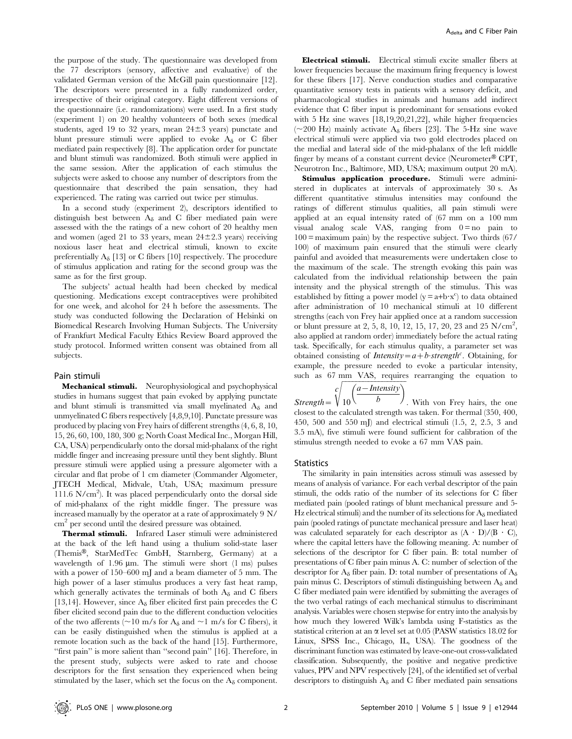the purpose of the study. The questionnaire was developed from the 77 descriptors (sensory, affective and evaluative) of the validated German version of the McGill pain questionnaire [12]. The descriptors were presented in a fully randomized order, irrespective of their original category. Eight different versions of the questionnaire (i.e. randomizations) were used. In a first study (experiment 1) on 20 healthy volunteers of both sexes (medical students, aged 19 to 32 years, mean  $24\pm3$  years) punctate and blunt pressure stimuli were applied to evoke  $A_{\delta}$  or C fiber mediated pain respectively [8]. The application order for punctate and blunt stimuli was randomized. Both stimuli were applied in the same session. After the application of each stimulus the subjects were asked to choose any number of descriptors from the questionnaire that described the pain sensation, they had experienced. The rating was carried out twice per stimulus.

In a second study (experiment 2), descriptors identified to distinguish best between  $A_{\delta}$  and C fiber mediated pain were assessed with the the ratings of a new cohort of 20 healthy men and women (aged 21 to 33 years, mean  $24\pm2.3$  years) receiving noxious laser heat and electrical stimuli, known to excite preferentially  $A_{\delta}$  [13] or C fibers [10] respectively. The procedure of stimulus application and rating for the second group was the same as for the first group.

The subjects' actual health had been checked by medical questioning. Medications except contraceptives were prohibited for one week, and alcohol for 24 h before the assessments. The study was conducted following the Declaration of Helsinki on Biomedical Research Involving Human Subjects. The University of Frankfurt Medical Faculty Ethics Review Board approved the study protocol. Informed written consent was obtained from all subjects.

#### Pain stimuli

Mechanical stimuli. Neurophysiological and psychophysical studies in humans suggest that pain evoked by applying punctate and blunt stimuli is transmitted via small myelinated  $A_{\delta}$  and unmyelinated C fibers respectively [4,8,9,10]. Punctate pressure was produced by placing von Frey hairs of different strengths (4, 6, 8, 10, 15, 26, 60, 100, 180, 300 g; North Coast Medical Inc., Morgan Hill, CA, USA) perpendicularly onto the dorsal mid-phalanx of the right middle finger and increasing pressure until they bent slightly. Blunt pressure stimuli were applied using a pressure algometer with a circular and flat probe of 1 cm diameter (Commander Algometer, JTECH Medical, Midvale, Utah, USA; maximum pressure  $111.6$  N/cm<sup>2</sup>). It was placed perpendicularly onto the dorsal side of mid-phalanx of the right middle finger. The pressure was increased manually by the operator at a rate of approximately 9 N/ cm<sup>2</sup> per second until the desired pressure was obtained.

Thermal stimuli. Infrared Laser stimuli were administered at the back of the left hand using a thulium solid-state laser (Themis<sup>®</sup>, StarMedTec GmbH, Starnberg, Germany) at a wavelength of 1.96  $\mu$ m. The stimuli were short (1 ms) pulses with a power of 150–600 mJ and a beam diameter of 5 mm. The high power of a laser stimulus produces a very fast heat ramp, which generally activates the terminals of both  $A_{\delta}$  and C fibers [13,14]. However, since  $A_{\delta}$  fiber elicited first pain precedes the C fiber elicited second pain due to the different conduction velocities of the two afferents ( $\sim$ 10 m/s for A<sub>δ</sub> and  $\sim$ 1 m/s for C fibers), it can be easily distinguished when the stimulus is applied at a remote location such as the back of the hand [15]. Furthermore, "first pain" is more salient than "second pain" [16]. Therefore, in the present study, subjects were asked to rate and choose descriptors for the first sensation they experienced when being stimulated by the laser, which set the focus on the  $A_{\delta}$  component.

Electrical stimuli. Electrical stimuli excite smaller fibers at lower frequencies because the maximum firing frequency is lowest for these fibers [17]. Nerve conduction studies and comparative quantitative sensory tests in patients with a sensory deficit, and pharmacological studies in animals and humans add indirect evidence that C fiber input is predominant for sensations evoked with 5 Hz sine waves [18,19,20,21,22], while higher frequencies ( $\sim$ 200 Hz) mainly activate A<sub> $\delta$ </sub> fibers [23]. The 5-Hz sine wave electrical stimuli were applied via two gold electrodes placed on the medial and lateral side of the mid-phalanx of the left middle finger by means of a constant current device (Neurometer® CPT, Neurotron Inc., Baltimore, MD, USA; maximum output 20 mA).

Stimulus application procedure. Stimuli were administered in duplicates at intervals of approximately 30 s. As different quantitative stimulus intensities may confound the ratings of different stimulus qualities, all pain stimuli were applied at an equal intensity rated of (67 mm on a 100 mm visual analog scale VAS, ranging from  $0 = no$  pain to  $100 =$  maximum pain) by the respective subject. Two thirds  $(67/$ 100) of maximum pain ensured that the stimuli were clearly painful and avoided that measurements were undertaken close to the maximum of the scale. The strength evoking this pain was calculated from the individual relationship between the pain intensity and the physical strength of the stimulus. This was established by fitting a power model ( $y = a+b \cdot x^c$ ) to data obtained after administration of 10 mechanical stimuli at 10 different strengths (each von Frey hair applied once at a random succession or blunt pressure at 2, 5, 8, 10, 12, 15, 17, 20, 23 and 25 N/cm<sup>2</sup>, also applied at random order) immediately before the actual rating task. Specifically, for each stimulus quality, a parameter set was obtained consisting of *Intensity* =  $a + b$  *strength<sup>c</sup>*. Obtaining, for example, the pressure needed to evoke a particular intensity, such as 67 mm VAS, requires rearranging the equation to

$$
c \left( \frac{a - Intensity}{t} \right)
$$

 $\textit{Strength} = \sqrt{10}$ b . With von Frey hairs, the one closest to the calculated strength was taken. For thermal (350, 400, 450, 500 and 550 mJ) and electrical stimuli (1.5, 2, 2.5, 3 and 3.5 mA), five stimuli were found sufficient for calibration of the stimulus strength needed to evoke a 67 mm VAS pain.

### **Statistics**

The similarity in pain intensities across stimuli was assessed by means of analysis of variance. For each verbal descriptor of the pain stimuli, the odds ratio of the number of its selections for C fiber mediated pain (pooled ratings of blunt mechanical pressure and 5- Hz electrical stimuli) and the number of its selections for  $A_{\delta}$  mediated pain (pooled ratings of punctate mechanical pressure and laser heat) was calculated separately for each descriptor as  $(A \cdot D)/(B \cdot C)$ , where the capital letters have the following meaning. A: number of selections of the descriptor for C fiber pain. B: total number of presentations of C fiber pain minus A. C: number of selection of the descriptor for  $A_{\delta}$  fiber pain. D: total number of presentations of  $A_{\delta}$ pain minus C. Descriptors of stimuli distinguishing between  $A_{\delta}$  and C fiber mediated pain were identified by submitting the averages of the two verbal ratings of each mechanical stimulus to discriminant analysis. Variables were chosen stepwise for entry into the analysis by how much they lowered Wilk's lambda using F-statistics as the statistical criterion at an  $\alpha$  level set at 0.05 (PASW statistics 18.02 for Linux, SPSS Inc., Chicago, IL, USA). The goodness of the discriminant function was estimated by leave-one-out cross-validated classification. Subsequently, the positive and negative predictive values, PPV and NPV respectively [24], of the identified set of verbal descriptors to distinguish  $A_{\delta}$  and C fiber mediated pain sensations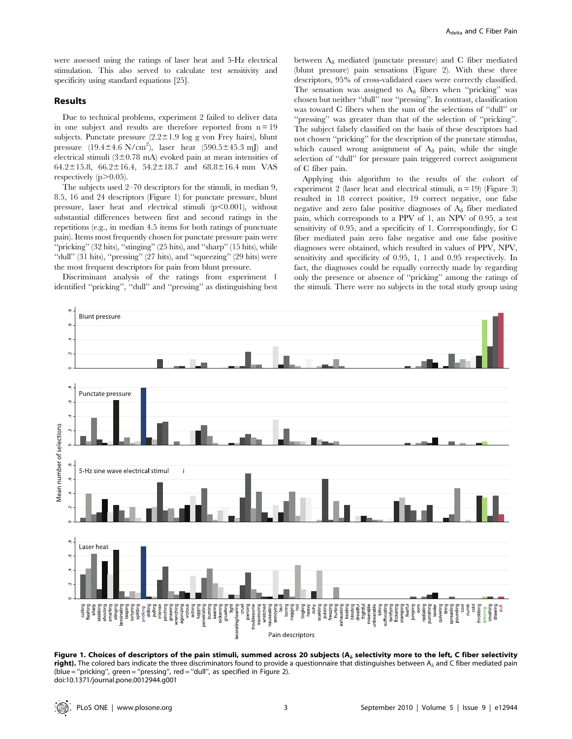were assessed using the ratings of laser heat and 5-Hz electrical stimulation. This also served to calculate test sensitivity and specificity using standard equations [25].

# Results

Due to technical problems, experiment 2 failed to deliver data in one subject and results are therefore reported from  $n = 19$ subjects. Punctate pressure  $(2.2 \pm 1.9 \log g$  von Frey hairs), blunt pressure  $(19.4 \pm 4.6 \text{ N/cm}^2)$ , laser heat  $(590.5 \pm 45.3 \text{ mJ})$  and electrical stimuli ( $3\pm0.78$  mA) evoked pain at mean intensities of 64.2 $\pm$ 15.8, 66.2 $\pm$ 16.4, 54.2 $\pm$ 18.7 and 68.8 $\pm$ 16.4 mm VAS respectively  $(p>0.05)$ .

The subjects used 2–70 descriptors for the stimuli, in median 9, 8.5, 16 and 24 descriptors (Figure 1) for punctate pressure, blunt pressure, laser heat and electrical stimuli  $(p<0.001)$ , without substantial differences between first and second ratings in the repetitions (e.g., in median 4.5 items for both ratings of punctuate pain). Items most frequently chosen for punctate pressure pain were "pricking" (32 hits), "stinging" (25 hits), and "sharp" (15 hits), while ''dull'' (31 hits), ''pressing'' (27 hits), and ''squeezing'' (29 hits) were the most frequent descriptors for pain from blunt pressure.

Discriminant analysis of the ratings from experiment 1 identified ''pricking'', ''dull'' and ''pressing'' as distinguishing best between  $A_{\delta}$  mediated (punctate pressure) and C fiber mediated (blunt pressure) pain sensations (Figure 2). With these three descriptors, 95% of cross-validated cases were correctly classified. The sensation was assigned to  $A_{\delta}$  fibers when "pricking" was chosen but neither ''dull'' nor ''pressing''. In contrast, classification was toward C fibers when the sum of the selections of ''dull'' or ''pressing'' was greater than that of the selection of ''pricking''. The subject falsely classified on the basis of these descriptors had not chosen ''pricking'' for the description of the punctate stimulus, which caused wrong assignment of  $A_{\delta}$  pain, while the single selection of ''dull'' for pressure pain triggered correct assignment of C fiber pain.

Applying this algorithm to the results of the cohort of experiment 2 (laser heat and electrical stimuli,  $n = 19$ ) (Figure 3) resulted in 18 correct positive, 19 correct negative, one false negative and zero false positive diagnoses of  $A_{\delta}$  fiber mediated pain, which corresponds to a PPV of 1, an NPV of 0.95, a test sensitivity of 0.95, and a specificity of 1. Correspondingly, for C fiber mediated pain zero false negative and one false positive diagnoses were obtained, which resulted in values of PPV, NPV, sensitivity and specificity of 0.95, 1, 1 and 0.95 respectively. In fact, the diagnoses could be equally correctly made by regarding only the presence or absence of ''pricking'' among the ratings of the stimuli. There were no subjects in the total study group using



Figure 1. Choices of descriptors of the pain stimuli, summed across 20 subjects ( $A_{\delta}$  selectivity more to the left, C fiber selectivity right). The colored bars indicate the three discriminators found to provide a questionnaire that distinguishes between  $A_{\delta}$  and C fiber mediated pain (blue = ''pricking'', green = ''pressing'', red = ''dull'', as specified in Figure 2). doi:10.1371/journal.pone.0012944.g001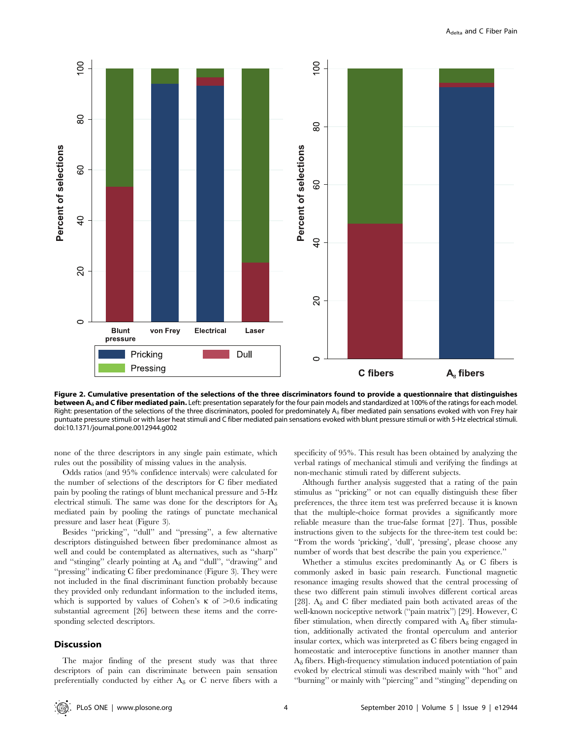

Figure 2. Cumulative presentation of the selections of the three discriminators found to provide a questionnaire that distinguishes between A<sub>a</sub> and C fiber mediated pain. Left: presentation separately for the four pain models and standardized at 100% of the ratings for each model. Right: presentation of the selections of the three discriminators, pooled for predominately  $A_{\delta}$  fiber mediated pain sensations evoked with von Frey hair puntuate pressure stimuli or with laser heat stimuli and C fiber mediated pain sensations evoked with blunt pressure stimuli or with 5-Hz electrical stimuli. doi:10.1371/journal.pone.0012944.g002

none of the three descriptors in any single pain estimate, which rules out the possibility of missing values in the analysis.

Odds ratios (and 95% confidence intervals) were calculated for the number of selections of the descriptors for C fiber mediated pain by pooling the ratings of blunt mechanical pressure and 5-Hz electrical stimuli. The same was done for the descriptors for  $A_{\delta}$ mediated pain by pooling the ratings of punctate mechanical pressure and laser heat (Figure 3).

Besides ''pricking'', ''dull'' and ''pressing'', a few alternative descriptors distinguished between fiber predominance almost as well and could be contemplated as alternatives, such as ''sharp'' and "stinging" clearly pointing at  $A_{\delta}$  and "dull", "drawing" and ''pressing'' indicating C fiber predominance (Figure 3). They were not included in the final discriminant function probably because they provided only redundant information to the included items, which is supported by values of Cohen's  $\kappa$  of  $> 0.6$  indicating substantial agreement [26] between these items and the corresponding selected descriptors.

#### **Discussion**

The major finding of the present study was that three descriptors of pain can discriminate between pain sensation preferentially conducted by either  $A_{\delta}$  or C nerve fibers with a

specificity of 95%. This result has been obtained by analyzing the verbal ratings of mechanical stimuli and verifying the findings at non-mechanic stimuli rated by different subjects.

Although further analysis suggested that a rating of the pain stimulus as ''pricking'' or not can equally distinguish these fiber preferences, the three item test was preferred because it is known that the multiple-choice format provides a significantly more reliable measure than the true-false format [27]. Thus, possible instructions given to the subjects for the three-item test could be: ''From the words 'pricking', 'dull', 'pressing', please choose any number of words that best describe the pain you experience.''

Whether a stimulus excites predominantly  $A_{\delta}$  or C fibers is commonly asked in basic pain research. Functional magnetic resonance imaging results showed that the central processing of these two different pain stimuli involves different cortical areas [28].  $A_{\delta}$  and C fiber mediated pain both activated areas of the well-known nociceptive network (''pain matrix'') [29]. However, C fiber stimulation, when directly compared with  $A_{\delta}$  fiber stimulation, additionally activated the frontal operculum and anterior insular cortex, which was interpreted as C fibers being engaged in homeostatic and interoceptive functions in another manner than  $A_{\delta}$  fibers. High-frequency stimulation induced potentiation of pain evoked by electrical stimuli was described mainly with ''hot'' and ''burning'' or mainly with ''piercing'' and ''stinging'' depending on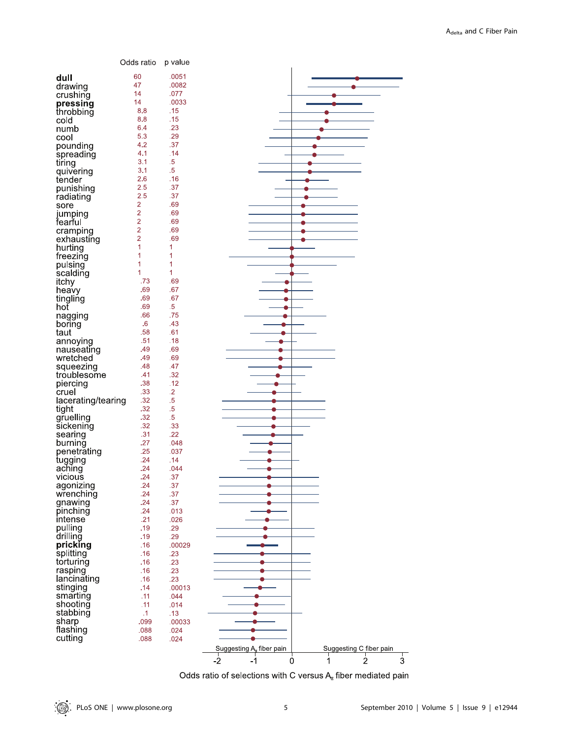|                    | Odds ratio     | p value         |                                                                 |
|--------------------|----------------|-----------------|-----------------------------------------------------------------|
|                    | 60             | .0051           |                                                                 |
| dull               | 47             | .0082           |                                                                 |
| drawing            |                |                 |                                                                 |
| crushing           | 14             | .077            |                                                                 |
| pressing           | 14             | .0033           |                                                                 |
| throbbing          | 8.8            | .15             |                                                                 |
| cold               | 8.8            | .15             |                                                                 |
| numb               | 6.4            | .23             |                                                                 |
| cool               | 5.3            | .29             |                                                                 |
| pounding           | 4.2            | .37             |                                                                 |
| spreading          | 4.1            | .14             |                                                                 |
| tiring             | 3.1            | $.5\phantom{0}$ |                                                                 |
| quivering          | 3.1            | $.5\,$          |                                                                 |
| tender             | 2.6            | .16             |                                                                 |
| punishing          | 2.5            | .37             |                                                                 |
| radiating          | 2.5            | .37             |                                                                 |
| sore               | $\overline{2}$ | .69             |                                                                 |
| jumping            | $\overline{c}$ | .69             |                                                                 |
| fearful            | $\overline{c}$ | .69             |                                                                 |
| cramping           | $\overline{2}$ | .69             |                                                                 |
| exhausting         | $\overline{2}$ | .69             |                                                                 |
| hurting            | 1              | 1               |                                                                 |
| freezing           | 1              | 1               |                                                                 |
| pulsing            | 1              | 1               |                                                                 |
| scalding           | 1              | 1               |                                                                 |
| itchy              | .73            | .69             |                                                                 |
|                    | .69            | .67             |                                                                 |
| heavy              | .69            | .67             |                                                                 |
| tingling<br>hot    | .69            | $.5\,$          |                                                                 |
|                    | .66            | .75             |                                                                 |
| nagging            | .6             | .43             |                                                                 |
| boring<br>taut     | .58            | .61             |                                                                 |
|                    | .51            | .18             |                                                                 |
| annoying           | .49            | .69             |                                                                 |
| nauseating         | .49            | .69             |                                                                 |
| wretched           |                |                 |                                                                 |
| squeezing          | .48            | .47             |                                                                 |
| troublesome        | .41            | .32             |                                                                 |
| piercing           | .38            | .12             |                                                                 |
| cruel              | .33            | $\cdot$ .2      |                                                                 |
| lacerating/tearing | .32            | $.5\phantom{0}$ |                                                                 |
| tight              | .32            | $.5\phantom{0}$ |                                                                 |
| gruelling          | .32            | $.5\phantom{0}$ |                                                                 |
| sickening          | .32            | .33             |                                                                 |
| searing            | .31            | .22             |                                                                 |
| burning            | .27            | .048            |                                                                 |
| penetrating        | .25            | .037            |                                                                 |
| tugging            | .24            | .14             |                                                                 |
| aching             | .24            | .044            |                                                                 |
| vicious            | .24            | .37             |                                                                 |
| agonizing          | .24            | .37             |                                                                 |
| wrenching          | .24            | .37             |                                                                 |
| gnawing            | .24            | .37             |                                                                 |
| pinching           | .24            | .013            |                                                                 |
| intense            | .21            | .026            |                                                                 |
| pulling            | .19            | .29             |                                                                 |
| drilling           | .19            | .29             |                                                                 |
| pricking           | .16            | .00029          |                                                                 |
| splitting          | .16            | .23             |                                                                 |
| torturing          | .16            | .23             |                                                                 |
| rasping            | .16            | .23             |                                                                 |
| lancinating        | .16            | .23             |                                                                 |
| stinging           | .14            | .00013          |                                                                 |
| smarting           | .11            | .044            |                                                                 |
| shooting           | .11            | .014            |                                                                 |
| stabbing           | $\cdot$ 1      | .13             |                                                                 |
| sharp              | .099           | .00033          |                                                                 |
| flashing           | .088           | .024            |                                                                 |
| cutting            | .088           | .024            |                                                                 |
|                    |                |                 | Suggesting A <sub>n</sub> fiber pain<br>Suggesting C fiber pain |
|                    |                |                 | $\frac{1}{2}$<br>$-2$<br>$\ddot{\mathbf{0}}$<br>3<br>-1<br>1    |

Odds ratio of selections with C versus  $A_{\text{M}}$  fiber mediated pain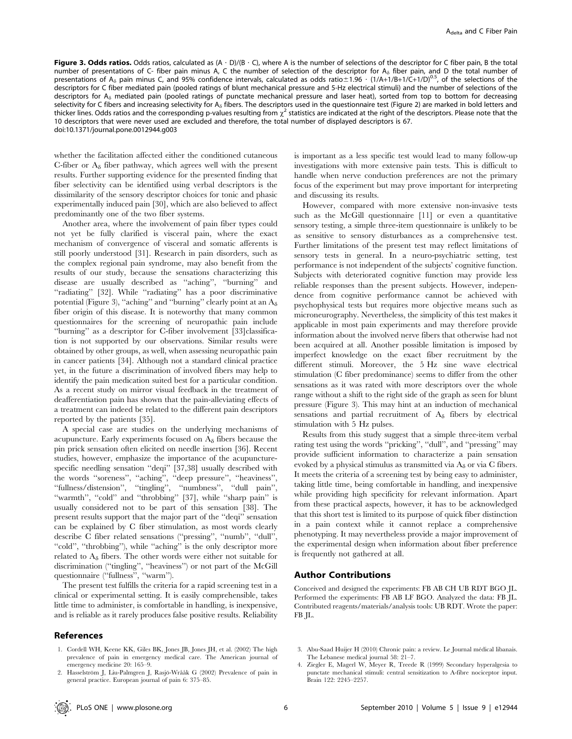Figure 3. Odds ratios. Odds ratios, calculated as  $(A \cdot D)/(B \cdot C)$ , where A is the number of selections of the descriptor for C fiber pain, B the total number of presentations of C- fiber pain minus A, C the number of selection of the descriptor for  $A_{\delta}$  fiber pain, and D the total number of presentations of A<sub> $\delta$ </sub> pain minus C, and 95% confidence intervals, calculated as odds ratio $\pm$ 1.96  $\cdot$  (1/A+1/B+1/C+1/D)<sup>0.5</sup>, of the selections of the descriptors for C fiber mediated pain (pooled ratings of blunt mechanical pressure and 5-Hz electrical stimuli) and the number of selections of the descriptors for  $A_{\delta}$  mediated pain (pooled ratings of punctate mechanical pressure and laser heat), sorted from top to bottom for decreasing selectivity for C fibers and increasing selectivity for A<sub> $\delta$ </sub> fibers. The descriptors used in the questionnaire test (Figure 2) are marked in bold letters and thicker lines. Odds ratios and the corresponding p-values resulting from  $\chi^2$  statistics are indicated at the right of the descriptors. Please note that the 10 descriptors that were never used are excluded and therefore, the total number of displayed descriptors is 67. doi:10.1371/journal.pone.0012944.g003

whether the facilitation affected either the conditioned cutaneous C-fiber or  $A_{\delta}$  fiber pathway, which agrees well with the present results. Further supporting evidence for the presented finding that fiber selectivity can be identified using verbal descriptors is the dissimilarity of the sensory descriptor choices for tonic and phasic experimentally induced pain [30], which are also believed to affect predominantly one of the two fiber systems.

Another area, where the involvement of pain fiber types could not yet be fully clarified is visceral pain, where the exact mechanism of convergence of visceral and somatic afferents is still poorly understood [31]. Research in pain disorders, such as the complex regional pain syndrome, may also benefit from the results of our study, because the sensations characterizing this disease are usually described as ''aching'', ''burning'' and ''radiating'' [32]. While ''radiating'' has a poor discriminative potential (Figure 3), "aching" and "burning" clearly point at an  $A_{\delta}$ fiber origin of this disease. It is noteworthy that many common questionnaires for the screening of neuropathic pain include ''burning'' as a descriptor for C-fiber involvement [33]classification is not supported by our observations. Similar results were obtained by other groups, as well, when assessing neuropathic pain in cancer patients [34]. Although not a standard clinical practice yet, in the future a discrimination of involved fibers may help to identify the pain medication suited best for a particular condition. As a recent study on mirror visual feedback in the treatment of deafferentiation pain has shown that the pain-alleviating effects of a treatment can indeed be related to the different pain descriptors reported by the patients [35].

A special case are studies on the underlying mechanisms of acupuncture. Early experiments focused on  $A_{\delta}$  fibers because the pin prick sensation often elicited on needle insertion [36]. Recent studies, however, emphasize the importance of the acupuncturespecific needling sensation ''deqi'' [37,38] usually described with the words ''soreness'', ''aching'', ''deep pressure'', ''heaviness'', ''fullness/distension'', ''tingling'', ''numbness'', ''dull pain'', ''warmth'', ''cold'' and ''throbbing'' [37], while ''sharp pain'' is usually considered not to be part of this sensation [38]. The present results support that the major part of the ''deqi'' sensation can be explained by C fiber stimulation, as most words clearly describe C fiber related sensations (''pressing'', ''numb'', ''dull'', "cold", "throbbing"), while "aching" is the only descriptor more related to  $A_{\delta}$  fibers. The other words were either not suitable for discrimination (''tingling'', ''heaviness'') or not part of the McGill questionnaire (''fullness'', ''warm'').

The present test fulfills the criteria for a rapid screening test in a clinical or experimental setting. It is easily comprehensible, takes little time to administer, is comfortable in handling, is inexpensive, and is reliable as it rarely produces false positive results. Reliability

# References

- 1. Cordell WH, Keene KK, Giles BK, Jones JB, Jones JH, et al. (2002) The high prevalence of pain in emergency medical care. The American journal of emergency medicine 20: 165–9.
- 2. Hasselström J, Liu-Palmgren J, Rasjö-Wrååk G (2002) Prevalence of pain in general practice. European journal of pain 6: 375–85.

is important as a less specific test would lead to many follow-up investigations with more extensive pain tests. This is difficult to handle when nerve conduction preferences are not the primary focus of the experiment but may prove important for interpreting and discussing its results.

However, compared with more extensive non-invasive tests such as the McGill questionnaire [11] or even a quantitative sensory testing, a simple three-item questionnaire is unlikely to be as sensitive to sensory disturbances as a comprehensive test. Further limitations of the present test may reflect limitations of sensory tests in general. In a neuro-psychiatric setting, test performance is not independent of the subjects' cognitive function. Subjects with deteriorated cognitive function may provide less reliable responses than the present subjects. However, independence from cognitive performance cannot be achieved with psychophysical tests but requires more objective means such as microneurography. Nevertheless, the simplicity of this test makes it applicable in most pain experiments and may therefore provide information about the involved nerve fibers that otherwise had not been acquired at all. Another possible limitation is imposed by imperfect knowledge on the exact fiber recruitment by the different stimuli. Moreover, the 5 Hz sine wave electrical stimulation (C fiber predominance) seems to differ from the other sensations as it was rated with more descriptors over the whole range without a shift to the right side of the graph as seen for blunt pressure (Figure 3). This may hint at an induction of mechanical sensations and partial recruitment of  $A_{\delta}$  fibers by electrical stimulation with 5 Hz pulses.

Results from this study suggest that a simple three-item verbal rating test using the words ''pricking'', ''dull'', and ''pressing'' may provide sufficient information to characterize a pain sensation evoked by a physical stimulus as transmitted via  $A_{\delta}$  or via C fibers. It meets the criteria of a screening test by being easy to administer, taking little time, being comfortable in handling, and inexpensive while providing high specificity for relevant information. Apart from these practical aspects, however, it has to be acknowledged that this short test is limited to its purpose of quick fiber distinction in a pain context while it cannot replace a comprehensive phenotyping. It may nevertheless provide a major improvement of the experimental design when information about fiber preference is frequently not gathered at all.

# Author Contributions

Conceived and designed the experiments: FB AB CH UB RDT BGO JL. Performed the experiments: FB AB LF BGO. Analyzed the data: FB JL. Contributed reagents/materials/analysis tools: UB RDT. Wrote the paper: FB JL.

- 3. Abu-Saad Huijer H (2010) Chronic pain: a review. Le Journal médical libanais. The Lebanese medical journal 58: 21–7.
- 4. Ziegler E, Magerl W, Meyer R, Treede R (1999) Secondary hyperalgesia to punctate mechanical stimuli: central sensitization to A-fibre nociceptor input. Brain 122: 2245–2257.